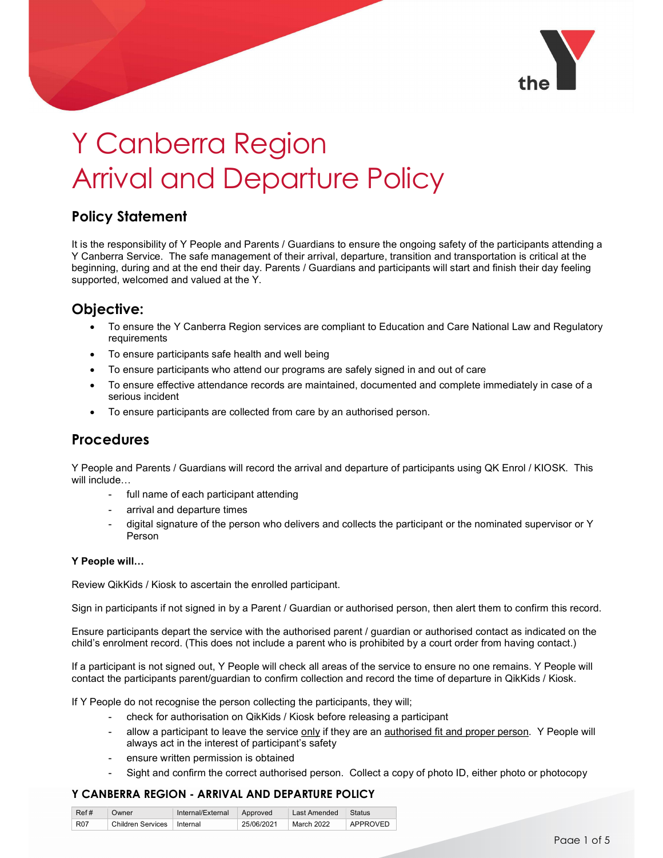

# Y Canberra Region Arrival and Departure Policy

# Policy Statement

It is the responsibility of Y People and Parents / Guardians to ensure the ongoing safety of the participants attending a Y Canberra Service. The safe management of their arrival, departure, transition and transportation is critical at the beginning, during and at the end their day. Parents / Guardians and participants will start and finish their day feeling supported, welcomed and valued at the Y.

## Objective:

- To ensure the Y Canberra Region services are compliant to Education and Care National Law and Regulatory requirements
- To ensure participants safe health and well being
- To ensure participants who attend our programs are safely signed in and out of care
- To ensure effective attendance records are maintained, documented and complete immediately in case of a serious incident
- To ensure participants are collected from care by an authorised person.

## **Procedures**

Y People and Parents / Guardians will record the arrival and departure of participants using QK Enrol / KIOSK. This will include…

- full name of each participant attending
- arrival and departure times
- digital signature of the person who delivers and collects the participant or the nominated supervisor or Y Person

#### Y People will…

Review QikKids / Kiosk to ascertain the enrolled participant.

Sign in participants if not signed in by a Parent / Guardian or authorised person, then alert them to confirm this record.

Ensure participants depart the service with the authorised parent / guardian or authorised contact as indicated on the child's enrolment record. (This does not include a parent who is prohibited by a court order from having contact.)

If a participant is not signed out, Y People will check all areas of the service to ensure no one remains. Y People will contact the participants parent/guardian to confirm collection and record the time of departure in QikKids / Kiosk.

If Y People do not recognise the person collecting the participants, they will;

- check for authorisation on QikKids / Kiosk before releasing a participant
- allow a participant to leave the service only if they are an authorised fit and proper person. Y People will always act in the interest of participant's safety
- ensure written permission is obtained
- Sight and confirm the correct authorised person. Collect a copy of photo ID, either photo or photocopy

| Ref#       | Owner            | Internal/External | Approved   | Last Amended  | <b>Status</b>   |
|------------|------------------|-------------------|------------|---------------|-----------------|
| <b>R07</b> | hildren Services | Internal          | 25/06/2021 | 2022<br>March | <b>APPROVED</b> |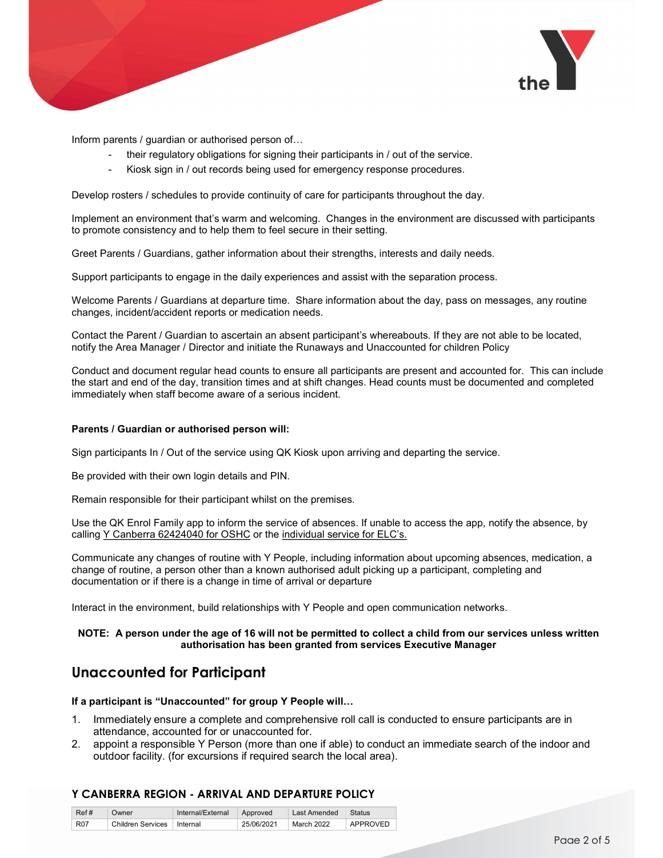

Inform parents / guardian or authorised person of…

- their regulatory obligations for signing their participants in / out of the service.
- Kiosk sign in / out records being used for emergency response procedures.

Develop rosters / schedules to provide continuity of care for participants throughout the day.

Implement an environment that's warm and welcoming. Changes in the environment are discussed with participants to promote consistency and to help them to feel secure in their setting.

Greet Parents / Guardians, gather information about their strengths, interests and daily needs.

Support participants to engage in the daily experiences and assist with the separation process.

Welcome Parents / Guardians at departure time. Share information about the day, pass on messages, any routine changes, incident/accident reports or medication needs.

Contact the Parent / Guardian to ascertain an absent participant's whereabouts. If they are not able to be located, notify the Area Manager / Director and initiate the Runaways and Unaccounted for children Policy

Conduct and document regular head counts to ensure all participants are present and accounted for. This can include the start and end of the day, transition times and at shift changes. Head counts must be documented and completed immediately when staff become aware of a serious incident.

#### Parents / Guardian or authorised person will:

Sign participants In / Out of the service using QK Kiosk upon arriving and departing the service.

Be provided with their own login details and PIN.

Remain responsible for their participant whilst on the premises.

Use the QK Enrol Family app to inform the service of absences. If unable to access the app, notify the absence, by calling Y Canberra 62424040 for OSHC or the individual service for ELC's.

Communicate any changes of routine with Y People, including information about upcoming absences, medication, a change of routine, a person other than a known authorised adult picking up a participant, completing and documentation or if there is a change in time of arrival or departure

Interact in the environment, build relationships with Y People and open communication networks.

#### NOTE: A person under the age of 16 will not be permitted to collect a child from our services unless written authorisation has been granted from services Executive Manager

## Unaccounted for Participant

#### If a participant is "Unaccounted" for group Y People will…

- 1. Immediately ensure a complete and comprehensive roll call is conducted to ensure participants are in attendance, accounted for or unaccounted for.
- 2. appoint a responsible Y Person (more than one if able) to conduct an immediate search of the indoor and outdoor facility. (for excursions if required search the local area).

| Ref#       | Owner                    | Internal/External | Approved   | Last Amended | <b>Status</b>   |
|------------|--------------------------|-------------------|------------|--------------|-----------------|
| <b>R07</b> | <b>Children Services</b> | Internal          | 25/06/2021 | March 2022   | <b>APPROVED</b> |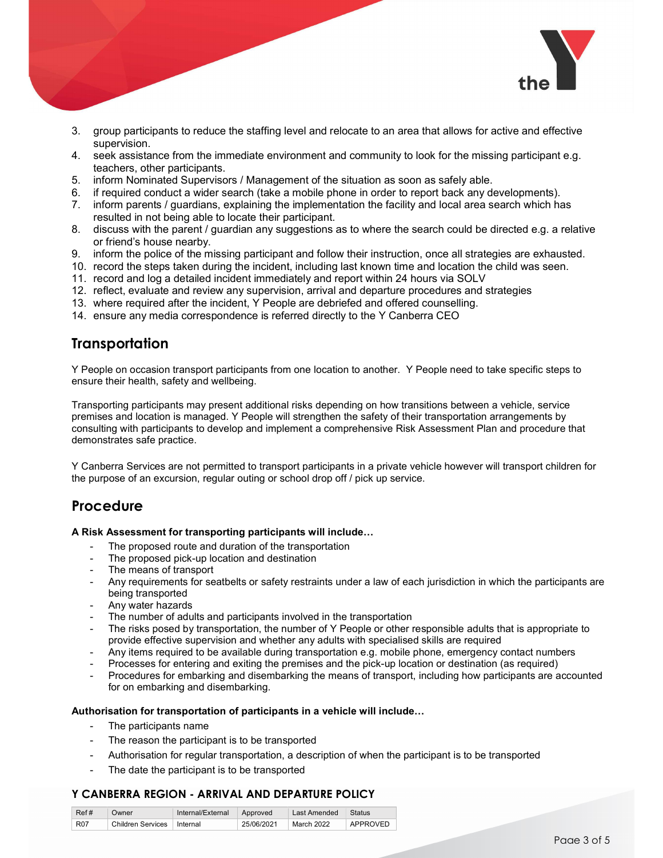

- 3. group participants to reduce the staffing level and relocate to an area that allows for active and effective supervision.
- 4. seek assistance from the immediate environment and community to look for the missing participant e.g. teachers, other participants.
- 5. inform Nominated Supervisors / Management of the situation as soon as safely able.
- 6. if required conduct a wider search (take a mobile phone in order to report back any developments).
- 7. inform parents / guardians, explaining the implementation the facility and local area search which has resulted in not being able to locate their participant.
- 8. discuss with the parent / guardian any suggestions as to where the search could be directed e.g. a relative or friend's house nearby.
- 9. inform the police of the missing participant and follow their instruction, once all strategies are exhausted.
- 10. record the steps taken during the incident, including last known time and location the child was seen.
- 11. record and log a detailed incident immediately and report within 24 hours via SOLV
- 12. reflect, evaluate and review any supervision, arrival and departure procedures and strategies
- 13. where required after the incident, Y People are debriefed and offered counselling.
- 14. ensure any media correspondence is referred directly to the Y Canberra CEO

## **Transportation**

Y People on occasion transport participants from one location to another. Y People need to take specific steps to ensure their health, safety and wellbeing.

Transporting participants may present additional risks depending on how transitions between a vehicle, service premises and location is managed. Y People will strengthen the safety of their transportation arrangements by consulting with participants to develop and implement a comprehensive Risk Assessment Plan and procedure that demonstrates safe practice.

Y Canberra Services are not permitted to transport participants in a private vehicle however will transport children for the purpose of an excursion, regular outing or school drop off / pick up service.

## Procedure

#### A Risk Assessment for transporting participants will include…

- The proposed route and duration of the transportation
- The proposed pick-up location and destination
- The means of transport
- Any requirements for seatbelts or safety restraints under a law of each jurisdiction in which the participants are being transported
- Any water hazards
- The number of adults and participants involved in the transportation
- The risks posed by transportation, the number of Y People or other responsible adults that is appropriate to provide effective supervision and whether any adults with specialised skills are required
- Any items required to be available during transportation e.g. mobile phone, emergency contact numbers
- Processes for entering and exiting the premises and the pick-up location or destination (as required)
- Procedures for embarking and disembarking the means of transport, including how participants are accounted for on embarking and disembarking.

#### Authorisation for transportation of participants in a vehicle will include…

- The participants name
- The reason the participant is to be transported
- Authorisation for regular transportation, a description of when the participant is to be transported
- The date the participant is to be transported

| Ref# | Jwner                | $\cdots$<br>Internal/External | Approved   | Amended<br>_ast | <b>Status</b> |
|------|----------------------|-------------------------------|------------|-----------------|---------------|
| R07  | Children<br>Services | Internal                      | 25/06/2021 | 2022<br>March   | APPROVEF      |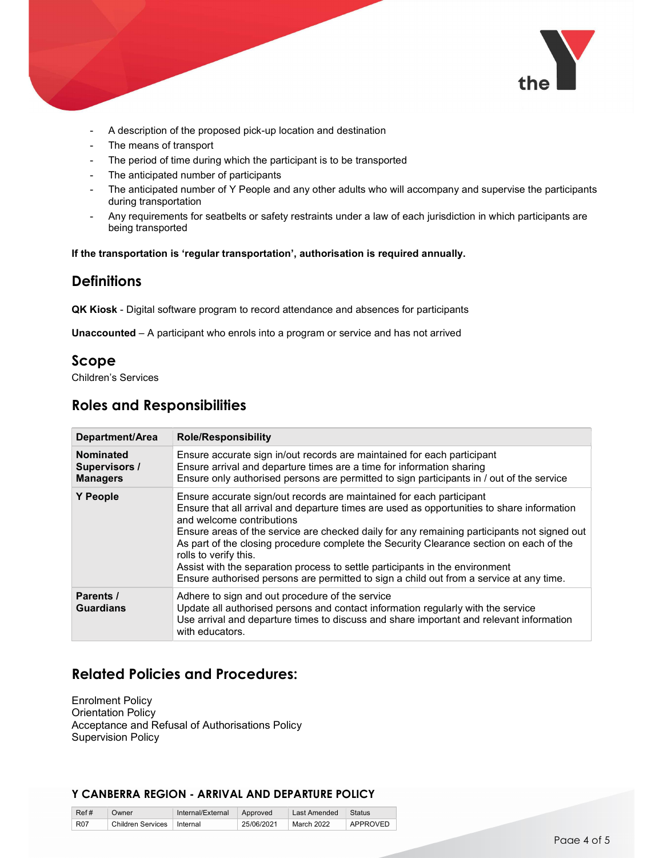

- A description of the proposed pick-up location and destination
- The means of transport
- The period of time during which the participant is to be transported
- The anticipated number of participants
- The anticipated number of Y People and any other adults who will accompany and supervise the participants during transportation
- Any requirements for seatbelts or safety restraints under a law of each jurisdiction in which participants are being transported

If the transportation is 'regular transportation', authorisation is required annually.

## **Definitions**

QK Kiosk - Digital software program to record attendance and absences for participants

Unaccounted – A participant who enrols into a program or service and has not arrived

## Scope

Children's Services

# Roles and Responsibilities

| Department/Area                                      | <b>Role/Responsibility</b>                                                                                                                                                                                                                                                                                                                                                                                                                                                                                                                                                                    |
|------------------------------------------------------|-----------------------------------------------------------------------------------------------------------------------------------------------------------------------------------------------------------------------------------------------------------------------------------------------------------------------------------------------------------------------------------------------------------------------------------------------------------------------------------------------------------------------------------------------------------------------------------------------|
| <b>Nominated</b><br>Supervisors /<br><b>Managers</b> | Ensure accurate sign in/out records are maintained for each participant<br>Ensure arrival and departure times are a time for information sharing<br>Ensure only authorised persons are permitted to sign participants in / out of the service                                                                                                                                                                                                                                                                                                                                                 |
| <b>Y</b> People                                      | Ensure accurate sign/out records are maintained for each participant<br>Ensure that all arrival and departure times are used as opportunities to share information<br>and welcome contributions<br>Ensure areas of the service are checked daily for any remaining participants not signed out<br>As part of the closing procedure complete the Security Clearance section on each of the<br>rolls to verify this.<br>Assist with the separation process to settle participants in the environment<br>Ensure authorised persons are permitted to sign a child out from a service at any time. |
| Parents /<br><b>Guardians</b>                        | Adhere to sign and out procedure of the service<br>Update all authorised persons and contact information regularly with the service<br>Use arrival and departure times to discuss and share important and relevant information<br>with educators.                                                                                                                                                                                                                                                                                                                                             |

# Related Policies and Procedures:

Enrolment Policy Orientation Policy Acceptance and Refusal of Authorisations Policy Supervision Policy

| Ref#       | Owner                    | Internal/External | Approved   | Last Amended | <b>Status</b> |
|------------|--------------------------|-------------------|------------|--------------|---------------|
| <b>R07</b> | <b>Children Services</b> | Internal          | 25/06/2021 | March 2022   | APPROVED      |